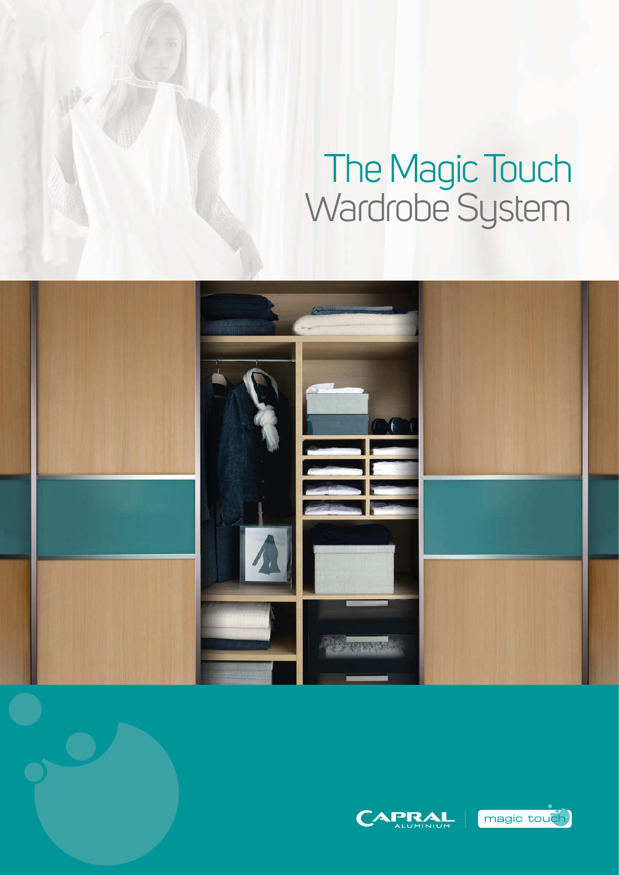# The Magic Touch Wardrobe System